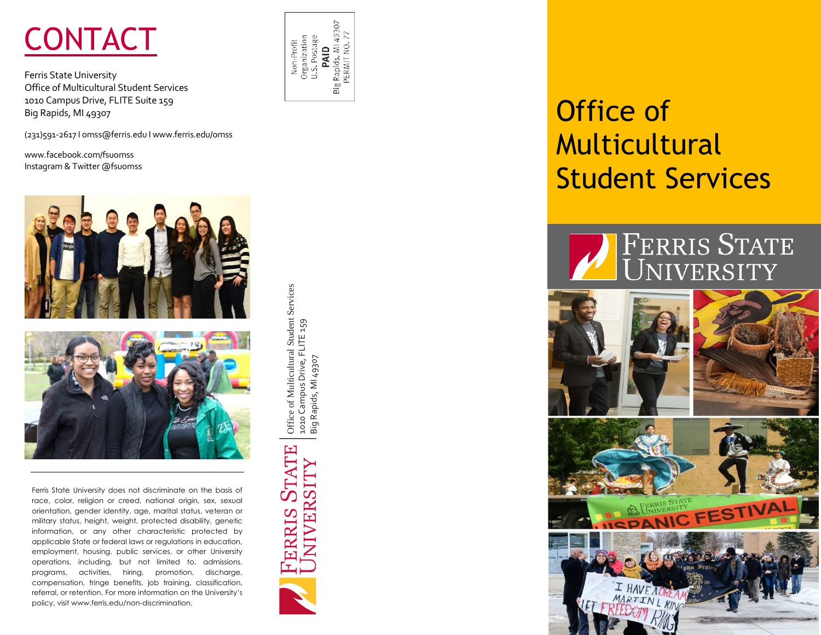

Ferris State University Office of Multicultural Student Services 1010 Campus Drive, FLITE Suite 159 Big Rapids, MI 49307

(231)591-2617 I omss@ferris.edu I www.ferris.edu/omss

www.facebook.com/fsuomss Instagram & Twitter @fsuomss



Ferris State University does not discriminate on the basis of race, color, religion or creed, national origin, sex, sexual orientation, gender identity, age, marital status, veteran or military status, height, weight, protected disability, genetic information, or any other characteristic protected by applicable State or federal laws or regulations in education, employment, housing, public services, or other University operations, including, but not limited to, admissions, programs, activities, hiring, promotion, discharge, compensation, fringe benefits, job training, classification, referral, or retention. For more information on the University's policy, visit www.ferris.edu/non-discrimination.



Office of Multicultural Student Services

Office of Multicultural Student Services

ERRIS STATE

NIVERSITY

1010 Campus Drive, FLITE 159 Big Rapids, MI 49307

1010 Campus Drive, FLITE 159<br>Big Rapids, MI 49307

# Office of Multicultural Student Services